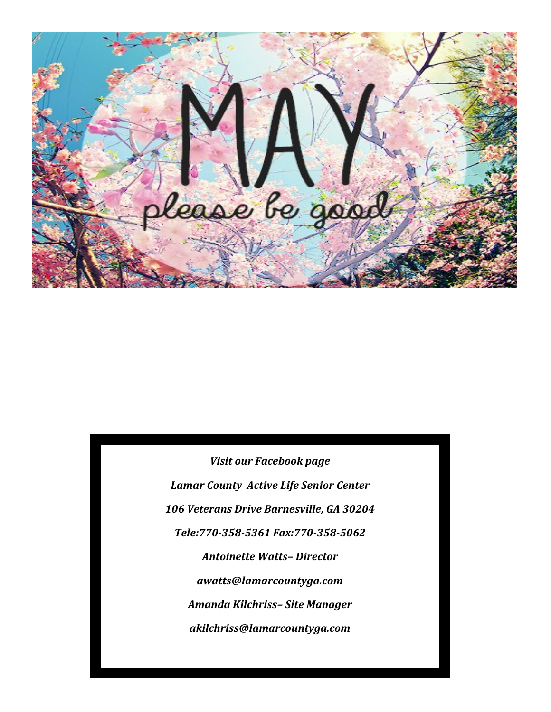

*Visit our Facebook page Lamar County Active Life Senior Center 106 Veterans Drive Barnesville, GA 30204 Tele:770-358-5361 Fax:770-358-5062 Antoinette Watts– Director awatts@lamarcountyga.com Amanda Kilchriss– Site Manager akilchriss@lamarcountyga.com*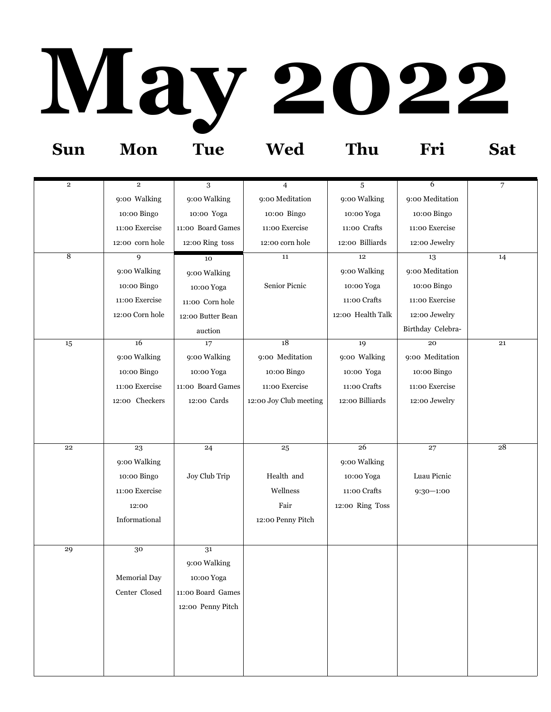## **May 2022 Sun Mon Tue Wed Thu Fri Sat**

| $\mathbf 2$    | $\overline{2}$  | 3                 | $\overline{4}$         | 5                 | 6                 | 7  |
|----------------|-----------------|-------------------|------------------------|-------------------|-------------------|----|
|                | 9:00 Walking    | 9:00 Walking      | 9:00 Meditation        | 9:00 Walking      | 9:00 Meditation   |    |
|                | 10:00 Bingo     | 10:00 Yoga        | 10:00 Bingo            | 10:00 Yoga        | 10:00 Bingo       |    |
|                | 11:00 Exercise  | 11:00 Board Games | 11:00 Exercise         | 11:00 Crafts      | 11:00 Exercise    |    |
|                | 12:00 corn hole | 12:00 Ring toss   | 12:00 corn hole        | 12:00 Billiards   | 12:00 Jewelry     |    |
| $\overline{8}$ | 9               | 10                | 11                     | $12\,$            | 13                | 14 |
|                | 9:00 Walking    | 9:00 Walking      |                        | 9:00 Walking      | 9:00 Meditation   |    |
|                | 10:00 Bingo     | 10:00 Yoga        | Senior Picnic          | 10:00 Yoga        | 10:00 Bingo       |    |
|                | 11:00 Exercise  | 11:00 Corn hole   |                        | 11:00 Crafts      | 11:00 Exercise    |    |
|                | 12:00 Corn hole | 12:00 Butter Bean |                        | 12:00 Health Talk | 12:00 Jewelry     |    |
|                |                 | auction           |                        |                   | Birthday Celebra- |    |
| $15\,$         | 16              | 17                | 18                     | 19                | 20                | 21 |
|                | 9:00 Walking    | 9:00 Walking      | 9:00 Meditation        | 9:00 Walking      | 9:00 Meditation   |    |
|                | 10:00 Bingo     | 10:00 Yoga        | 10:00 Bingo            | 10:00 Yoga        | 10:00 Bingo       |    |
|                | 11:00 Exercise  | 11:00 Board Games | 11:00 Exercise         | 11:00 Crafts      | 11:00 Exercise    |    |
|                | 12:00 Checkers  | 12:00 Cards       | 12:00 Joy Club meeting | 12:00 Billiards   | 12:00 Jewelry     |    |
|                |                 |                   |                        |                   |                   |    |
|                |                 |                   |                        |                   |                   |    |
| 22             | 23              | 24                | 25                     | 26                | 27                | 28 |
|                | 9:00 Walking    |                   |                        | 9:00 Walking      |                   |    |
|                | 10:00 Bingo     | Joy Club Trip     | Health and             | 10:00 Yoga        | Luau Picnic       |    |
|                | 11:00 Exercise  |                   | Wellness               | 11:00 Crafts      | $9:30 - 1:00$     |    |
|                | 12:00           |                   | Fair                   | 12:00 Ring Toss   |                   |    |
|                | Informational   |                   | 12:00 Penny Pitch      |                   |                   |    |
|                |                 |                   |                        |                   |                   |    |
| 29             | 30              | 31                |                        |                   |                   |    |
|                |                 | 9:00 Walking      |                        |                   |                   |    |
|                | Memorial Day    | 10:00 Yoga        |                        |                   |                   |    |
|                | Center Closed   | 11:00 Board Games |                        |                   |                   |    |
|                |                 | 12:00 Penny Pitch |                        |                   |                   |    |
|                |                 |                   |                        |                   |                   |    |
|                |                 |                   |                        |                   |                   |    |
|                |                 |                   |                        |                   |                   |    |
|                |                 |                   |                        |                   |                   |    |
|                |                 |                   |                        |                   |                   |    |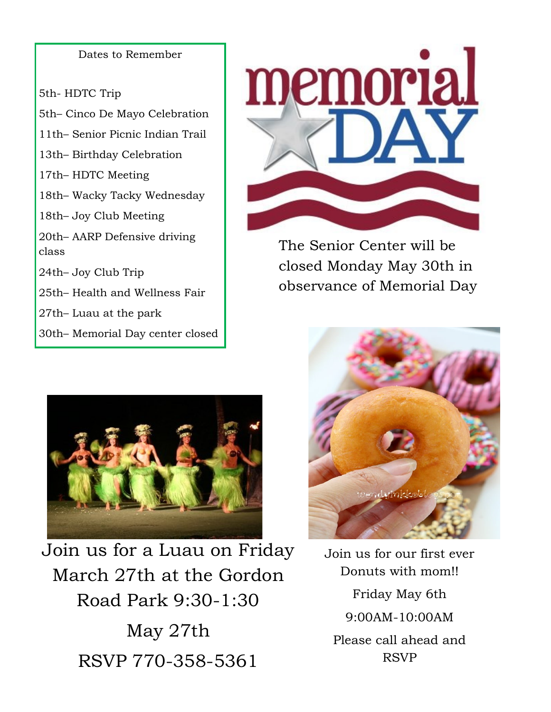Dates to Remember

5th- HDTC Trip 5th– Cinco De Mayo Celebration 11th– Senior Picnic Indian Trail 13th– Birthday Celebration 17th– HDTC Meeting 18th– Wacky Tacky Wednesday 18th– Joy Club Meeting 20th– AARP Defensive driving class 24th– Joy Club Trip 25th– Health and Wellness Fair 27th– Luau at the park 30th– Memorial Day center closed



The Senior Center will be closed Monday May 30th in observance of Memorial Day



Join us for a Luau on Friday March 27th at the Gordon Road Park 9:30-1:30 May 27th RSVP 770-358-5361



Join us for our first ever Donuts with mom!! Friday May 6th 9:00AM-10:00AM Please call ahead and RSVP